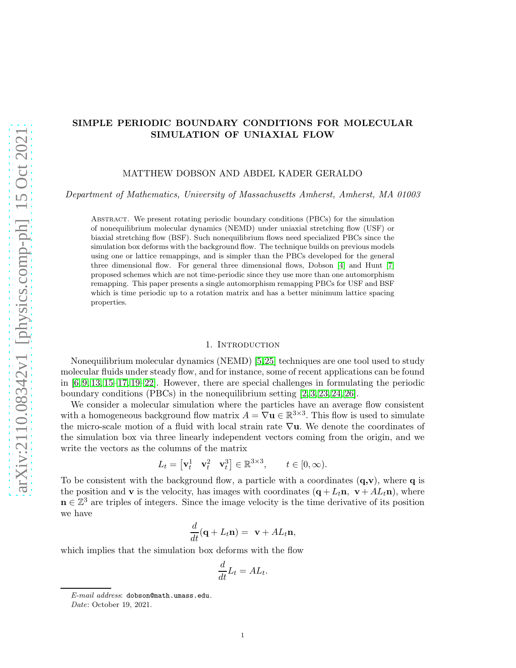# SIMPLE PERIODIC BOUNDARY CONDITIONS FOR MOLECULAR SIMULATION OF UNIAXIAL FLOW

#### MATTHEW DOBSON AND ABDEL KADER GERALDO

Department of Mathematics, University of Massachusetts Amherst, Amherst, MA 01003

Abstract. We present rotating periodic boundary conditions (PBCs) for the simulation of nonequilibrium molecular dynamics (NEMD) under uniaxial stretching flow (USF) or biaxial stretching flow (BSF). Such nonequilibrium flows need specialized PBCs since the simulation box deforms with the background flow. The technique builds on previous models using one or lattice remappings, and is simpler than the PBCs developed for the general three dimensional flow. For general three dimensional flows, Dobson [\[4\]](#page-9-0) and Hunt [\[7\]](#page-9-1) proposed schemes which are not time-periodic since they use more than one automorphism remapping. This paper presents a single automorphism remapping PBCs for USF and BSF which is time periodic up to a rotation matrix and has a better minimum lattice spacing properties.

#### 1. INTRODUCTION

Nonequilibrium molecular dynamics (NEMD) [\[5,](#page-9-2)[25\]](#page-9-3) techniques are one tool used to study molecular fluids under steady flow, and for instance, some of recent applications can be found in  $[6, 9, 13, 15-17, 19-22]$  $[6, 9, 13, 15-17, 19-22]$  $[6, 9, 13, 15-17, 19-22]$  $[6, 9, 13, 15-17, 19-22]$  $[6, 9, 13, 15-17, 19-22]$  $[6, 9, 13, 15-17, 19-22]$ . However, there are special challenges in formulating the periodic boundary conditions (PBCs) in the nonequilibrium setting  $[2, 3, 23, 24, 26]$  $[2, 3, 23, 24, 26]$  $[2, 3, 23, 24, 26]$  $[2, 3, 23, 24, 26]$  $[2, 3, 23, 24, 26]$ .

We consider a molecular simulation where the particles have an average flow consistent with a homogeneous background flow matrix  $A = \nabla \mathbf{u} \in \mathbb{R}^{3 \times 3}$ . This flow is used to simulate the micro-scale motion of a fluid with local strain rate  $\nabla$ **u**. We denote the coordinates of the simulation box via three linearly independent vectors coming from the origin, and we write the vectors as the columns of the matrix

$$
L_t = \begin{bmatrix} \mathbf{v}_t^1 & \mathbf{v}_t^2 & \mathbf{v}_t^3 \end{bmatrix} \in \mathbb{R}^{3 \times 3}, \qquad t \in [0, \infty).
$$

To be consistent with the background flow, a particle with a coordinates  $(q, v)$ , where q is the position and **v** is the velocity, has images with coordinates  $(q + L_t n, v + AL_t n)$ , where  $\mathbf{n} \in \mathbb{Z}^3$  are triples of integers. Since the image velocity is the time derivative of its position we have

$$
\frac{d}{dt}(\mathbf{q} + L_t \mathbf{n}) = \mathbf{v} + A L_t \mathbf{n},
$$

which implies that the simulation box deforms with the flow

$$
\frac{d}{dt}L_t = AL_t.
$$

*E-mail address*: dobson@math.umass.edu.

*Date*: October 19, 2021.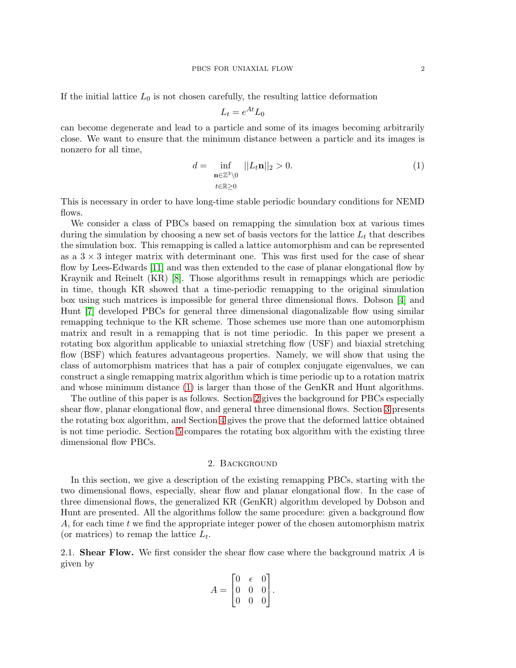If the initial lattice  $L_0$  is not chosen carefully, the resulting lattice deformation

<span id="page-1-0"></span>
$$
L_t = e^{At} L_0
$$

can become degenerate and lead to a particle and some of its images becoming arbitrarily close. We want to ensure that the minimum distance between a particle and its images is nonzero for all time,

$$
d = \inf_{\substack{\mathbf{n} \in \mathbb{Z}^3 \setminus 0 \\ t \in \mathbb{R} \ge 0}} ||L_t \mathbf{n}||_2 > 0. \tag{1}
$$

This is necessary in order to have long-time stable periodic boundary conditions for NEMD flows.

We consider a class of PBCs based on remapping the simulation box at various times during the simulation by choosing a new set of basis vectors for the lattice  $L_t$  that describes the simulation box. This remapping is called a lattice automorphism and can be represented as a  $3 \times 3$  integer matrix with determinant one. This was first used for the case of shear flow by Lees-Edwards [\[11\]](#page-9-15) and was then extended to the case of planar elongational flow by Kraynik and Reinelt (KR) [\[8\]](#page-9-16). Those algorithms result in remappings which are periodic in time, though KR showed that a time-periodic remapping to the original simulation box using such matrices is impossible for general three dimensional flows. Dobson [\[4\]](#page-9-0) and Hunt [\[7\]](#page-9-1) developed PBCs for general three dimensional diagonalizable flow using similar remapping technique to the KR scheme. Those schemes use more than one automorphism matrix and result in a remapping that is not time periodic. In this paper we present a rotating box algorithm applicable to uniaxial stretching flow (USF) and biaxial stretching flow (BSF) which features advantageous properties. Namely, we will show that using the class of automorphism matrices that has a pair of complex conjugate eigenvalues, we can construct a single remapping matrix algorithm which is time periodic up to a rotation matrix and whose minimum distance [\(1\)](#page-1-0) is larger than those of the GenKR and Hunt algorithms.

The outline of this paper is as follows. Section [2](#page-1-1) gives the background for PBCs especially shear flow, planar elongational flow, and general three dimensional flows. Section [3](#page-4-0) presents the rotating box algorithm, and Section [4](#page-5-0) gives the prove that the deformed lattice obtained is not time periodic. Section [5](#page-7-0) compares the rotating box algorithm with the existing three dimensional flow PBCs.

## 2. Background

<span id="page-1-1"></span>In this section, we give a description of the existing remapping PBCs, starting with the two dimensional flows, especially, shear flow and planar elongational flow. In the case of three dimensional flows, the generalized KR (GenKR) algorithm developed by Dobson and Hunt are presented. All the algorithms follow the same procedure: given a background flow A, for each time t we find the appropriate integer power of the chosen automorphism matrix (or matrices) to remap the lattice  $L_t$ .

2.1. Shear Flow. We first consider the shear flow case where the background matrix  $A$  is given by

$$
A = \begin{bmatrix} 0 & \epsilon & 0 \\ 0 & 0 & 0 \\ 0 & 0 & 0 \end{bmatrix}.
$$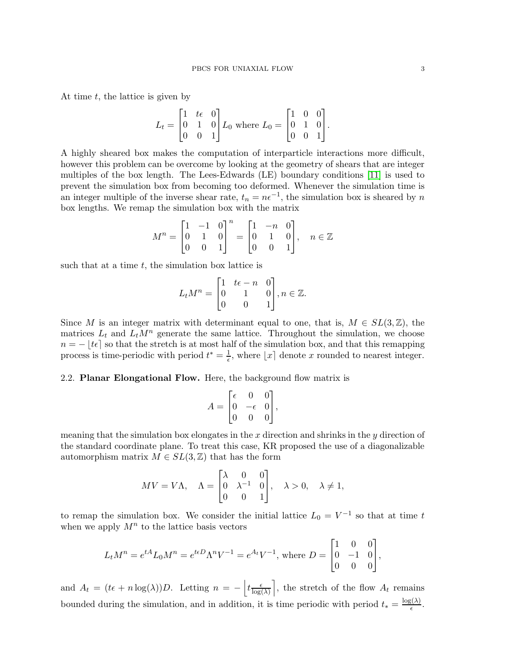At time  $t$ , the lattice is given by

$$
L_t = \begin{bmatrix} 1 & t\epsilon & 0 \\ 0 & 1 & 0 \\ 0 & 0 & 1 \end{bmatrix} L_0 \text{ where } L_0 = \begin{bmatrix} 1 & 0 & 0 \\ 0 & 1 & 0 \\ 0 & 0 & 1 \end{bmatrix}.
$$

A highly sheared box makes the computation of interparticle interactions more difficult, however this problem can be overcome by looking at the geometry of shears that are integer multiples of the box length. The Lees-Edwards (LE) boundary conditions [\[11\]](#page-9-15) is used to prevent the simulation box from becoming too deformed. Whenever the simulation time is an integer multiple of the inverse shear rate,  $t_n = n\epsilon^{-1}$ , the simulation box is sheared by n box lengths. We remap the simulation box with the matrix

$$
M^n = \begin{bmatrix} 1 & -1 & 0 \\ 0 & 1 & 0 \\ 0 & 0 & 1 \end{bmatrix}^n = \begin{bmatrix} 1 & -n & 0 \\ 0 & 1 & 0 \\ 0 & 0 & 1 \end{bmatrix}, \quad n \in \mathbb{Z}
$$

such that at a time  $t$ , the simulation box lattice is

$$
L_t M^n = \begin{bmatrix} 1 & t\epsilon - n & 0 \\ 0 & 1 & 0 \\ 0 & 0 & 1 \end{bmatrix}, n \in \mathbb{Z}.
$$

Since M is an integer matrix with determinant equal to one, that is,  $M \in SL(3, \mathbb{Z})$ , the matrices  $L_t$  and  $L_tM^n$  generate the same lattice. Throughout the simulation, we choose  $n = - \lfloor t \epsilon \rfloor$  so that the stretch is at most half of the simulation box, and that this remapping process is time-periodic with period  $t^* = \frac{1}{\epsilon}$ , where  $\lfloor x \rfloor$  denote x rounded to nearest integer.

## <span id="page-2-0"></span>2.2. Planar Elongational Flow. Here, the background flow matrix is

$$
A = \begin{bmatrix} \epsilon & 0 & 0 \\ 0 & -\epsilon & 0 \\ 0 & 0 & 0 \end{bmatrix},
$$

meaning that the simulation box elongates in the  $x$  direction and shrinks in the  $y$  direction of the standard coordinate plane. To treat this case, KR proposed the use of a diagonalizable automorphism matrix  $M \in SL(3, \mathbb{Z})$  that has the form

$$
MV = V\Lambda, \quad \Lambda = \begin{bmatrix} \lambda & 0 & 0 \\ 0 & \lambda^{-1} & 0 \\ 0 & 0 & 1 \end{bmatrix}, \quad \lambda > 0, \quad \lambda \neq 1,
$$

to remap the simulation box. We consider the initial lattice  $L_0 = V^{-1}$  so that at time t when we apply  $M^n$  to the lattice basis vectors

$$
L_t M^n = e^{tA} L_0 M^n = e^{t\epsilon D} \Lambda^n V^{-1} = e^{At} V^{-1}, \text{ where } D = \begin{bmatrix} 1 & 0 & 0 \\ 0 & -1 & 0 \\ 0 & 0 & 0 \end{bmatrix},
$$

and  $A_t = (t\epsilon + n\log(\lambda))D$ . Letting  $n = -\left| t \frac{\epsilon}{\log(\lambda)} \right|$  $\frac{\epsilon}{\log(\lambda)}$ , the stretch of the flow  $A_t$  remains bounded during the simulation, and in addition, it is time periodic with period  $t_* = \frac{\log(\lambda)}{e}$  $\frac{\xi(\lambda)}{\epsilon}$ .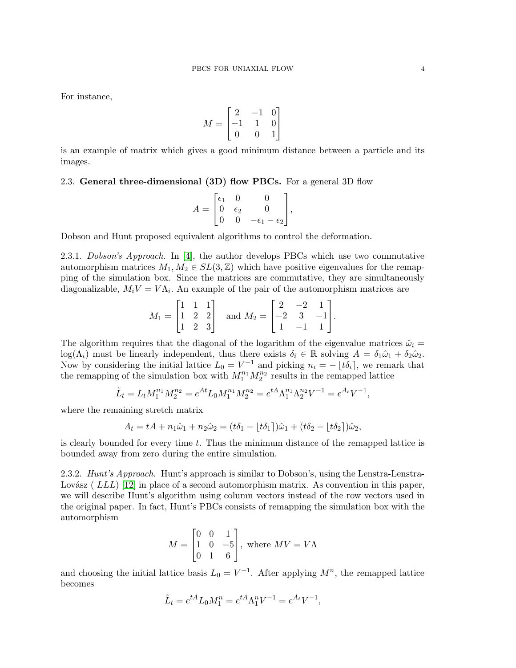For instance,

$$
M = \begin{bmatrix} 2 & -1 & 0 \\ -1 & 1 & 0 \\ 0 & 0 & 1 \end{bmatrix}
$$

is an example of matrix which gives a good minimum distance between a particle and its images.

### 2.3. General three-dimensional  $(3D)$  flow PBCs. For a general 3D flow

$$
A = \begin{bmatrix} \epsilon_1 & 0 & 0 \\ 0 & \epsilon_2 & 0 \\ 0 & 0 & -\epsilon_1 - \epsilon_2 \end{bmatrix},
$$

Dobson and Hunt proposed equivalent algorithms to control the deformation.

2.3.1. Dobson's Approach. In [\[4\]](#page-9-0), the author develops PBCs which use two commutative automorphism matrices  $M_1, M_2 \in SL(3, \mathbb{Z})$  which have positive eigenvalues for the remapping of the simulation box. Since the matrices are commutative, they are simultaneously diagonalizable,  $M_i V = V \Lambda_i$ . An example of the pair of the automorphism matrices are

$$
M_1 = \begin{bmatrix} 1 & 1 & 1 \\ 1 & 2 & 2 \\ 1 & 2 & 3 \end{bmatrix} \text{ and } M_2 = \begin{bmatrix} 2 & -2 & 1 \\ -2 & 3 & -1 \\ 1 & -1 & 1 \end{bmatrix}.
$$

The algorithm requires that the diagonal of the logarithm of the eigenvalue matrices  $\hat{\omega}_i =$  $log(\Lambda_i)$  must be linearly independent, thus there exists  $\delta_i \in \mathbb{R}$  solving  $A = \delta_1 \hat{\omega}_1 + \delta_2 \hat{\omega}_2$ . Now by considering the initial lattice  $L_0 = V^{-1}$  and picking  $n_i = -\lfloor t\delta_i \rfloor$ , we remark that the remapping of the simulation box with  $M_1^{n_1} M_2^{n_2}$  results in the remapped lattice

$$
\tilde{L}_t = L_t M_1^{n_1} M_2^{n_2} = e^{At} L_0 M_1^{n_1} M_2^{n_2} = e^{tA} \Lambda_1^{n_1} \Lambda_2^{n_2} V^{-1} = e^{A_t} V^{-1},
$$

where the remaining stretch matrix

$$
A_t = tA + n_1\hat{\omega}_1 + n_2\hat{\omega}_2 = (t\delta_1 - \lfloor t\delta_1 \rfloor)\hat{\omega}_1 + (t\delta_2 - \lfloor t\delta_2 \rfloor)\hat{\omega}_2,
$$

is clearly bounded for every time  $t$ . Thus the minimum distance of the remapped lattice is bounded away from zero during the entire simulation.

2.3.2. Hunt's Approach. Hunt's approach is similar to Dobson's, using the Lenstra-Lenstra-Lovász (  $LLL$ ) [\[12\]](#page-9-17) in place of a second automorphism matrix. As convention in this paper, we will describe Hunt's algorithm using column vectors instead of the row vectors used in the original paper. In fact, Hunt's PBCs consists of remapping the simulation box with the automorphism

$$
M = \begin{bmatrix} 0 & 0 & 1 \\ 1 & 0 & -5 \\ 0 & 1 & 6 \end{bmatrix}
$$
, where  $MV = V\Lambda$ 

and choosing the initial lattice basis  $L_0 = V^{-1}$ . After applying  $M^n$ , the remapped lattice becomes

$$
\tilde{L}_t = e^{tA} L_0 M_1^n = e^{tA} \Lambda_1^n V^{-1} = e^{A_t} V^{-1},
$$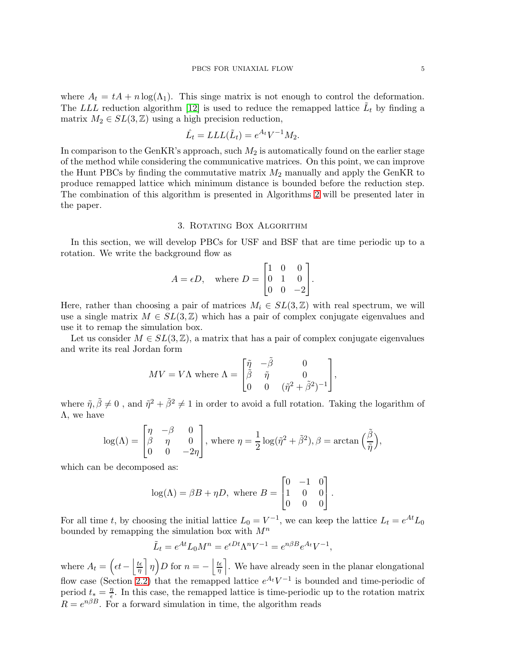where  $A_t = tA + n \log(\Lambda_1)$ . This singe matrix is not enough to control the deformation. The LLL reduction algorithm [\[12\]](#page-9-17) is used to reduce the remapped lattice  $\tilde{L}_t$  by finding a matrix  $M_2 \in SL(3, \mathbb{Z})$  using a high precision reduction,

$$
\hat{L}_t = LLL(\tilde{L}_t) = e^{A_t}V^{-1}M_2.
$$

In comparison to the GenKR's approach, such  $M_2$  is automatically found on the earlier stage of the method while considering the communicative matrices. On this point, we can improve the Hunt PBCs by finding the commutative matrix  $M_2$  manually and apply the GenKR to produce remapped lattice which minimum distance is bounded before the reduction step. The combination of this algorithm is presented in Algorithms [2](#page-8-0) will be presented later in the paper.

#### 3. ROTATING BOX ALGORITHM

<span id="page-4-0"></span>In this section, we will develop PBCs for USF and BSF that are time periodic up to a rotation. We write the background flow as

$$
A = \epsilon D
$$
, where  $D = \begin{bmatrix} 1 & 0 & 0 \\ 0 & 1 & 0 \\ 0 & 0 & -2 \end{bmatrix}$ .

Here, rather than choosing a pair of matrices  $M_i \in SL(3,\mathbb{Z})$  with real spectrum, we will use a single matrix  $M \in SL(3,\mathbb{Z})$  which has a pair of complex conjugate eigenvalues and use it to remap the simulation box.

Let us consider  $M \in SL(3, \mathbb{Z})$ , a matrix that has a pair of complex conjugate eigenvalues and write its real Jordan form

$$
MV = V\Lambda \text{ where } \Lambda = \begin{bmatrix} \tilde{\eta} & -\tilde{\beta} & 0 \\ \tilde{\beta} & \tilde{\eta} & 0 \\ 0 & 0 & (\tilde{\eta}^2 + \tilde{\beta}^2)^{-1} \end{bmatrix},
$$

where  $\tilde{\eta}, \tilde{\beta} \neq 0$ , and  $\tilde{\eta}^2 + \tilde{\beta}^2 \neq 1$  in order to avoid a full rotation. Taking the logarithm of  $Λ$ , we have

$$
\log(\Lambda) = \begin{bmatrix} \eta & -\beta & 0 \\ \beta & \eta & 0 \\ 0 & 0 & -2\eta \end{bmatrix}, \text{ where } \eta = \frac{1}{2}\log(\tilde{\eta}^2 + \tilde{\beta}^2), \beta = \arctan\Big(\frac{\tilde{\beta}}{\tilde{\eta}}\Big),
$$

which can be decomposed as:

$$
log(\Lambda) = \beta B + \eta D
$$
, where  $B = \begin{bmatrix} 0 & -1 & 0 \\ 1 & 0 & 0 \\ 0 & 0 & 0 \end{bmatrix}$ .

For all time t, by choosing the initial lattice  $L_0 = V^{-1}$ , we can keep the lattice  $L_t = e^{At} L_0$ bounded by remapping the simulation box with  $M^n$ 

$$
\tilde{L}_t = e^{At} L_0 M^n = e^{\epsilon Dt} \Lambda^n V^{-1} = e^{n\beta B} e^{A_t} V^{-1},
$$

where  $A_t = \left(\epsilon t - \frac{\epsilon}{n}\right)$  $\frac{t\epsilon}{\eta} \left[ \eta \right] D$  for  $n = -\left[ \frac{t\epsilon}{\eta} \right]$  $\left\lfloor \frac{t\epsilon}{\eta} \right\rfloor$ . We have already seen in the planar elongational flow case (Section [2.2\)](#page-2-0) that the remapped lattice  $e^{A_t}V^{-1}$  is bounded and time-periodic of period  $t_* = \frac{\eta}{\epsilon}$  $\frac{\eta}{\epsilon}$ . In this case, the remapped lattice is time-periodic up to the rotation matrix  $R = e^{n\beta B}$ . For a forward simulation in time, the algorithm reads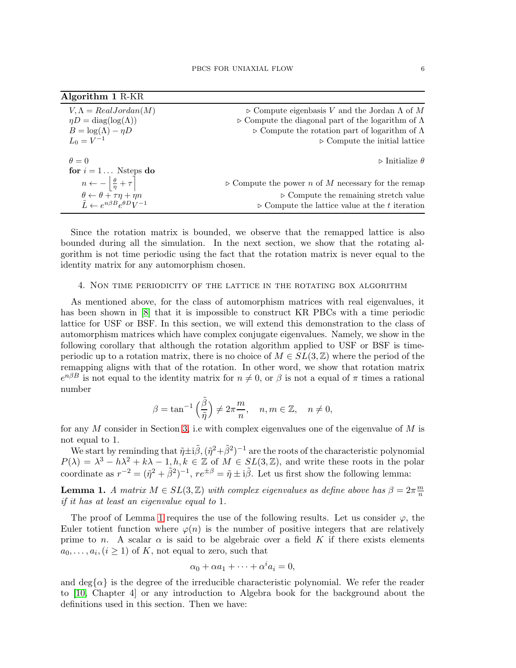| <b>Algorithm 1 R-KR</b>                                                                                    |                                                                          |
|------------------------------------------------------------------------------------------------------------|--------------------------------------------------------------------------|
| $V, \Lambda = RealJordan(M)$                                                                               | $\triangleright$ Compute eigenbasis V and the Jordan $\Lambda$ of M      |
| $\eta D = \text{diag}(\log(\Lambda))$                                                                      | $\triangleright$ Compute the diagonal part of the logarithm of $\Lambda$ |
| $B = \log(\Lambda) - \eta D$                                                                               | $\triangleright$ Compute the rotation part of logarithm of $\Lambda$     |
| $L_0 = V^{-1}$                                                                                             | $\triangleright$ Compute the initial lattice                             |
| $\theta = 0$                                                                                               | $\triangleright$ Initialize $\theta$                                     |
| for $i = 1$ Nsteps do                                                                                      | $\triangleright$ Compute the power n of M necessary for the remap        |
| $n \leftarrow -\left\lfloor \frac{\theta}{\eta} + \tau \right\rfloor$                                      | $\triangleright$ Compute the remaining stretch value                     |
| $\theta \leftarrow \theta + \tau \eta + \eta n$<br>$\tilde{L} \leftarrow e^{n\beta B} e^{\theta D} V^{-1}$ | $\triangleright$ Compute the lattice value at the t iteration            |

Since the rotation matrix is bounded, we observe that the remapped lattice is also bounded during all the simulation. In the next section, we show that the rotating algorithm is not time periodic using the fact that the rotation matrix is never equal to the identity matrix for any automorphism chosen.

## <span id="page-5-0"></span>4. Non time periodicity of the lattice in the rotating box algorithm

As mentioned above, for the class of automorphism matrices with real eigenvalues, it has been shown in [\[8\]](#page-9-16) that it is impossible to construct KR PBCs with a time periodic lattice for USF or BSF. In this section, we will extend this demonstration to the class of automorphism matrices which have complex conjugate eigenvalues. Namely, we show in the following corollary that although the rotation algorithm applied to USF or BSF is timeperiodic up to a rotation matrix, there is no choice of  $M \in SL(3, \mathbb{Z})$  where the period of the remapping aligns with that of the rotation. In other word, we show that rotation matrix  $e^{n\beta B}$  is not equal to the identity matrix for  $n \neq 0$ , or  $\beta$  is not a equal of  $\pi$  times a rational number

$$
\beta = \tan^{-1}\left(\frac{\tilde{\beta}}{\tilde{\eta}}\right) \neq 2\pi \frac{m}{n}, \quad n, m \in \mathbb{Z}, \quad n \neq 0,
$$

for any M consider in Section [3,](#page-4-0) i.e with complex eigenvalues one of the eigenvalue of  $M$  is not equal to 1.

We start by reminding that  $\tilde{\eta} \pm i\tilde{\beta}, (\tilde{\eta}^2 + \tilde{\beta}^2)^{-1}$  are the roots of the characteristic polynomial  $P(\lambda) = \lambda^3 - h\lambda^2 + k\lambda - 1, h, k \in \mathbb{Z}$  of  $M \in SL(3, \mathbb{Z})$ , and write these roots in the polar coordinate as  $r^{-2} = (\tilde{\eta}^2 + \tilde{\beta}^2)^{-1}$ ,  $re^{\pm \beta} = \tilde{\eta} \pm i\tilde{\beta}$ . Let us first show the following lemma:

<span id="page-5-1"></span>**Lemma 1.** A matrix  $M \in SL(3, \mathbb{Z})$  with complex eigenvalues as define above has  $\beta = 2\pi \frac{m}{n}$ n if it has at least an eigenvalue equal to 1.

The proof of Lemma [1](#page-5-1) requires the use of the following results. Let us consider  $\varphi$ , the Euler totient function where  $\varphi(n)$  is the number of positive integers that are relatively prime to n. A scalar  $\alpha$  is said to be algebraic over a field K if there exists elements  $a_0, \ldots, a_i, (i \geq 1)$  of K, not equal to zero, such that

$$
\alpha_0 + \alpha a_1 + \dots + \alpha^i a_i = 0,
$$

and deg $\{\alpha\}$  is the degree of the irreducible characteristic polynomial. We refer the reader to [\[10,](#page-9-18) Chapter 4] or any introduction to Algebra book for the background about the definitions used in this section. Then we have: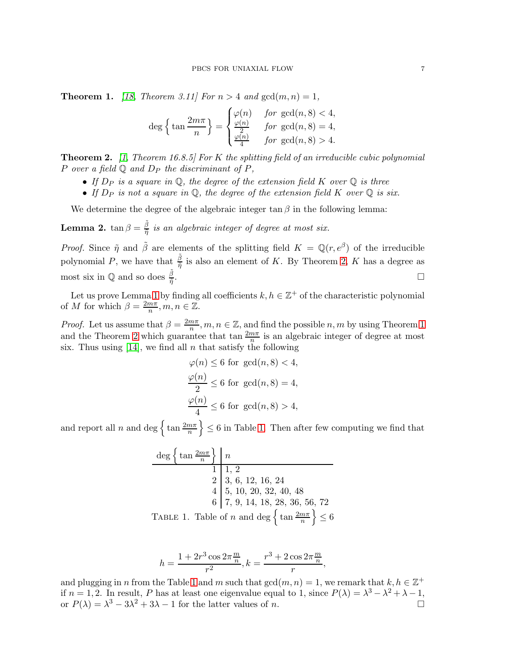<span id="page-6-1"></span>**Theorem 1.** [\[18,](#page-9-19) Theorem 3.11] For  $n > 4$  and  $gcd(m, n) = 1$ ,

$$
\deg\left\{\tan\frac{2m\pi}{n}\right\} = \begin{cases} \varphi(n) & \text{for } \gcd(n,8) < 4, \\ \frac{\varphi(n)}{2} & \text{for } \gcd(n,8) = 4, \\ \frac{\varphi(n)}{4} & \text{for } \gcd(n,8) > 4. \end{cases}
$$

<span id="page-6-0"></span>**Theorem 2.** [\[1,](#page-9-20) Theorem 16.8.5] For K the splitting field of an irreducible cubic polynomial P over a field  $\mathbb Q$  and  $D_P$  the discriminant of P,

- If  $D_P$  is a square in  $\mathbb Q$ , the degree of the extension field K over  $\mathbb Q$  is three
- If  $D_P$  is not a square in  $\mathbb Q$ , the degree of the extension field K over  $\mathbb Q$  is six.

We determine the degree of the algebraic integer  $\tan \beta$  in the following lemma:

**Lemma 2.**  $\tan \beta = \frac{\tilde{\beta}}{\tilde{n}}$  $\frac{\beta}{\tilde{\eta}}$  is an algebraic integer of degree at most six.

*Proof.* Since  $\tilde{\eta}$  and  $\tilde{\beta}$  are elements of the splitting field  $K = \mathbb{Q}(r, e^{\beta})$  of the irreducible polynomial P, we have that  $\frac{\tilde{\beta}}{\tilde{\eta}}$  is also an element of K. By Theorem [2,](#page-6-0) K has a degree as most six in  $\mathbb{Q}$  and so does  $\frac{\tilde{\beta}}{\tilde{\eta}}$ .

Let us prove Lemma [1](#page-5-1) by finding all coefficients  $k, h \in \mathbb{Z}^+$  of the characteristic polynomial of M for which  $\beta = \frac{2m\pi}{n}$  $\frac{m\pi}{n}, m, n \in \mathbb{Z}$ .

*Proof.* Let us assume that  $\beta = \frac{2m\pi}{n}$ ,  $m, n \in \mathbb{Z}$ , and find the possible  $n, m$  by using Theorem [1](#page-6-1) and the Theorem [2](#page-6-0) which guarantee that  $\tan \frac{2m\pi}{n}$  is an algebraic integer of degree at most six. Thus using  $[14]$ , we find all n that satisfy the following

$$
\varphi(n) \le 6 \text{ for } \gcd(n, 8) < 4,
$$
\n
$$
\frac{\varphi(n)}{2} \le 6 \text{ for } \gcd(n, 8) = 4,
$$
\n
$$
\frac{\varphi(n)}{4} \le 6 \text{ for } \gcd(n, 8) > 4,
$$

and report all n and deg  $\left\{\tan \frac{2m\pi}{n}\right\} \leq 6$  in Table [1.](#page-6-2) Then after few computing we find that

$$
\frac{\deg\left\{\tan\frac{2m\pi}{n}\right\}}{1} \begin{array}{c} n \\ 1 \\ 2 \\ 3 \\ 6 \\ 1 \end{array}, 2
$$
\n
$$
\begin{array}{c} 2 \\ 3 \\ 5 \\ 10 \\ 20 \\ 32 \\ 40 \\ 6 \end{array}
$$
\n
$$
\begin{array}{c} 2 \\ 4 \\ 5 \\ 7 \\ 9 \\ 14 \\ 18 \\ 28 \\ 36 \\ 56 \\ 72 \\ 14 \end{array}
$$
\n
$$
\text{Table 1. Table of } n \text{ and } \deg\left\{\tan\frac{2m\pi}{n}\right\} \le 6
$$

<span id="page-6-2"></span>
$$
h = \frac{1 + 2r^3 \cos 2\pi \frac{m}{n}}{r^2}, k = \frac{r^3 + 2\cos 2\pi \frac{m}{n}}{r},
$$

and plugging in n from the Table [1](#page-6-2) and m such that  $gcd(m, n) = 1$ , we remark that  $k, h \in \mathbb{Z}^+$ if  $n = 1, 2$ . In result, P has at least one eigenvalue equal to 1, since  $P(\lambda) = \lambda^3 - \lambda^2 + \lambda - 1$ , or  $P(\lambda) = \lambda^3 - 3\lambda^2 + 3\lambda - 1$  for the latter values of n.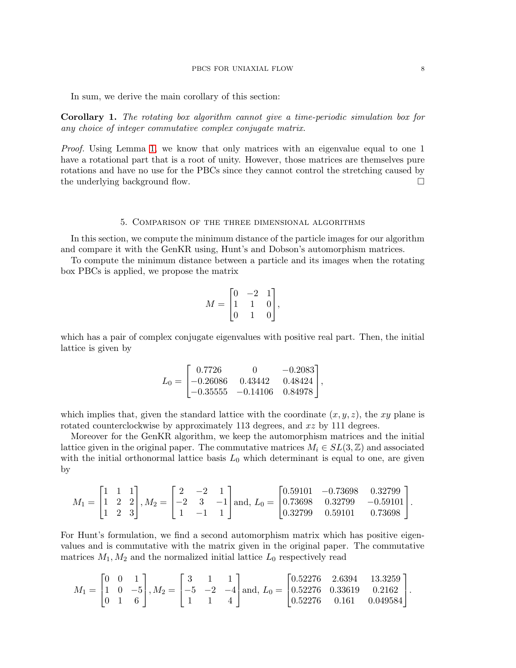In sum, we derive the main corollary of this section:

Corollary 1. The rotating box algorithm cannot give a time-periodic simulation box for any choice of integer commutative complex conjugate matrix.

Proof. Using Lemma [1,](#page-5-1) we know that only matrices with an eigenvalue equal to one 1 have a rotational part that is a root of unity. However, those matrices are themselves pure rotations and have no use for the PBCs since they cannot control the stretching caused by the underlying background flow.

#### 5. Comparison of the three dimensional algorithms

<span id="page-7-0"></span>In this section, we compute the minimum distance of the particle images for our algorithm and compare it with the GenKR using, Hunt's and Dobson's automorphism matrices.

To compute the minimum distance between a particle and its images when the rotating box PBCs is applied, we propose the matrix

$$
M = \begin{bmatrix} 0 & -2 & 1 \\ 1 & 1 & 0 \\ 0 & 1 & 0 \end{bmatrix},
$$

which has a pair of complex conjugate eigenvalues with positive real part. Then, the initial lattice is given by

$$
L_0 = \begin{bmatrix} 0.7726 & 0 & -0.2083 \\ -0.26086 & 0.43442 & 0.48424 \\ -0.35555 & -0.14106 & 0.84978 \end{bmatrix},
$$

which implies that, given the standard lattice with the coordinate  $(x, y, z)$ , the xy plane is rotated counterclockwise by approximately 113 degrees, and xz by 111 degrees.

Moreover for the GenKR algorithm, we keep the automorphism matrices and the initial lattice given in the original paper. The commutative matrices  $M_i \in SL(3,\mathbb{Z})$  and associated with the initial orthonormal lattice basis  $L_0$  which determinant is equal to one, are given by

$$
M_1 = \begin{bmatrix} 1 & 1 & 1 \\ 1 & 2 & 2 \\ 1 & 2 & 3 \end{bmatrix}, M_2 = \begin{bmatrix} 2 & -2 & 1 \\ -2 & 3 & -1 \\ 1 & -1 & 1 \end{bmatrix} \text{and, } L_0 = \begin{bmatrix} 0.59101 & -0.73698 & 0.32799 \\ 0.73698 & 0.32799 & -0.59101 \\ 0.32799 & 0.59101 & 0.73698 \end{bmatrix}.
$$

For Hunt's formulation, we find a second automorphism matrix which has positive eigenvalues and is commutative with the matrix given in the original paper. The commutative matrices  $M_1, M_2$  and the normalized initial lattice  $L_0$  respectively read

$$
M_1 = \begin{bmatrix} 0 & 0 & 1 \\ 1 & 0 & -5 \\ 0 & 1 & 6 \end{bmatrix}, M_2 = \begin{bmatrix} 3 & 1 & 1 \\ -5 & -2 & -4 \\ 1 & 1 & 4 \end{bmatrix} \text{and, } L_0 = \begin{bmatrix} 0.52276 & 2.6394 & 13.3259 \\ 0.52276 & 0.33619 & 0.2162 \\ 0.52276 & 0.161 & 0.049584 \end{bmatrix}.
$$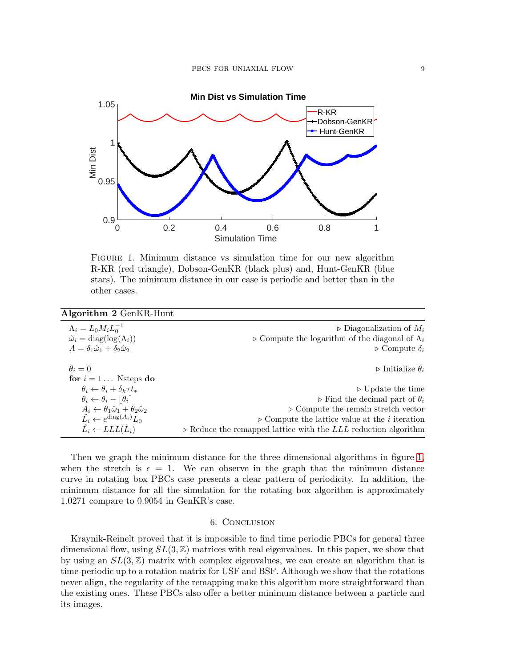

<span id="page-8-1"></span>Figure 1. Minimum distance vs simulation time for our new algorithm R-KR (red triangle), Dobson-GenKR (black plus) and, Hunt-GenKR (blue stars). The minimum distance in our case is periodic and better than in the other cases.

<span id="page-8-0"></span>

| Algorithm 2 GenKR-Hunt                                             |                                                                               |
|--------------------------------------------------------------------|-------------------------------------------------------------------------------|
| $\Lambda_i = L_0 M_i L_0^{-1}$                                     | $\triangleright$ Diagonalization of $M_i$                                     |
| $\hat{\omega}_i = \text{diag}(\log(\Lambda_i))$                    | $\triangleright$ Compute the logarithm of the diagonal of $\Lambda_i$         |
| $A = \delta_1 \hat{\omega}_1 + \delta_2 \hat{\omega}_2$            | $\triangleright$ Compute $\delta_i$                                           |
| $\theta_i=0$                                                       | $\triangleright$ Initialize $\theta_i$                                        |
| for $i = 1$ Nsteps do                                              |                                                                               |
| $\theta_i \leftarrow \theta_i + \delta_k \tau t_*$                 | $\triangleright$ Update the time                                              |
| $\theta_i \leftarrow \theta_i -  \theta_i $                        | $\triangleright$ Find the decimal part of $\theta_i$                          |
| $A_i \leftarrow \theta_1 \hat{\omega}_1 + \theta_2 \hat{\omega}_2$ | $\triangleright$ Compute the remain stretch vector                            |
| $\tilde{L}_i \leftarrow e^{\text{diag}(A_i)} L_0$                  | $\triangleright$ Compute the lattice value at the <i>i</i> iteration          |
| $\tilde{L}_i \leftarrow LLL(\tilde{L}_i)$                          | $\triangleright$ Reduce the remapped lattice with the LLL reduction algorithm |

Then we graph the minimum distance for the three dimensional algorithms in figure [1,](#page-8-1) when the stretch is  $\epsilon = 1$ . We can observe in the graph that the minimum distance curve in rotating box PBCs case presents a clear pattern of periodicity. In addition, the minimum distance for all the simulation for the rotating box algorithm is approximately 1.0271 compare to 0.9054 in GenKR's case.

## 6. Conclusion

Kraynik-Reinelt proved that it is impossible to find time periodic PBCs for general three dimensional flow, using  $SL(3,\mathbb{Z})$  matrices with real eigenvalues. In this paper, we show that by using an  $SL(3,\mathbb{Z})$  matrix with complex eigenvalues, we can create an algorithm that is time-periodic up to a rotation matrix for USF and BSF. Although we show that the rotations never align, the regularity of the remapping make this algorithm more straightforward than the existing ones. These PBCs also offer a better minimum distance between a particle and its images.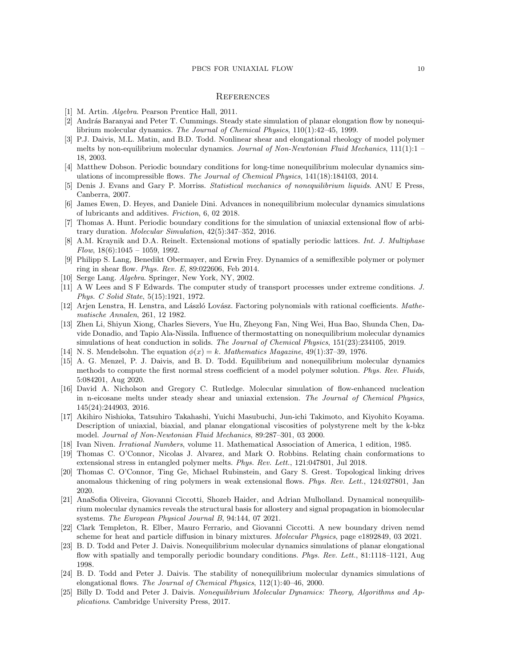#### **REFERENCES**

- <span id="page-9-20"></span><span id="page-9-11"></span>[1] M. Artin. *Algebra*. Pearson Prentice Hall, 2011.
- [2] András Baranyai and Peter T. Cummings. Steady state simulation of planar elongation flow by nonequilibrium molecular dynamics. *The Journal of Chemical Physics*, 110(1):42–45, 1999.
- <span id="page-9-12"></span>[3] P.J. Daivis, M.L. Matin, and B.D. Todd. Nonlinear shear and elongational rheology of model polymer melts by non-equilibrium molecular dynamics. *Journal of Non-Newtonian Fluid Mechanics*, 111(1):1 – 18, 2003.
- <span id="page-9-0"></span>[4] Matthew Dobson. Periodic boundary conditions for long-time nonequilibrium molecular dynamics simulations of incompressible flows. *The Journal of Chemical Physics*, 141(18):184103, 2014.
- <span id="page-9-2"></span>[5] Denis J. Evans and Gary P. Morriss. *Statistical mechanics of nonequilibrium liquids*. ANU E Press, Canberra, 2007.
- <span id="page-9-4"></span>[6] James Ewen, D. Heyes, and Daniele Dini. Advances in nonequilibrium molecular dynamics simulations of lubricants and additives. *Friction*, 6, 02 2018.
- <span id="page-9-1"></span>[7] Thomas A. Hunt. Periodic boundary conditions for the simulation of uniaxial extensional flow of arbitrary duration. *Molecular Simulation*, 42(5):347–352, 2016.
- <span id="page-9-16"></span>[8] A.M. Kraynik and D.A. Reinelt. Extensional motions of spatially periodic lattices. *Int. J. Multiphase Flow*, 18(6):1045 – 1059, 1992.
- <span id="page-9-5"></span>[9] Philipp S. Lang, Benedikt Obermayer, and Erwin Frey. Dynamics of a semiflexible polymer or polymer ring in shear flow. *Phys. Rev. E*, 89:022606, Feb 2014.
- <span id="page-9-18"></span><span id="page-9-15"></span>[10] Serge Lang. *Algebra*. Springer, New York, NY, 2002.
- [11] A W Lees and S F Edwards. The computer study of transport processes under extreme conditions. *J. Phys. C Solid State*, 5(15):1921, 1972.
- <span id="page-9-17"></span>[12] Arjen Lenstra, H. Lenstra, and László Lovász. Factoring polynomials with rational coefficients. *Mathematische Annalen*, 261, 12 1982.
- <span id="page-9-6"></span>[13] Zhen Li, Shiyun Xiong, Charles Sievers, Yue Hu, Zheyong Fan, Ning Wei, Hua Bao, Shunda Chen, Davide Donadio, and Tapio Ala-Nissila. Influence of thermostatting on nonequilibrium molecular dynamics simulations of heat conduction in solids. *The Journal of Chemical Physics*, 151(23):234105, 2019.
- <span id="page-9-21"></span><span id="page-9-7"></span>[14] N. S. Mendelsohn. The equation  $\phi(x) = k$ . *Mathematics Magazine*, 49(1):37–39, 1976.
- [15] A. G. Menzel, P. J. Daivis, and B. D. Todd. Equilibrium and nonequilibrium molecular dynamics methods to compute the first normal stress coefficient of a model polymer solution. *Phys. Rev. Fluids*, 5:084201, Aug 2020.
- [16] David A. Nicholson and Gregory C. Rutledge. Molecular simulation of flow-enhanced nucleation in n-eicosane melts under steady shear and uniaxial extension. *The Journal of Chemical Physics*, 145(24):244903, 2016.
- <span id="page-9-8"></span>[17] Akihiro Nishioka, Tatsuhiro Takahashi, Yuichi Masubuchi, Jun-ichi Takimoto, and Kiyohito Koyama. Description of uniaxial, biaxial, and planar elongational viscosities of polystyrene melt by the k-bkz model. *Journal of Non-Newtonian Fluid Mechanics*, 89:287–301, 03 2000.
- <span id="page-9-19"></span><span id="page-9-9"></span>[18] Ivan Niven. *Irrational Numbers*, volume 11. Mathematical Association of America, 1 edition, 1985.
- [19] Thomas C. O'Connor, Nicolas J. Alvarez, and Mark O. Robbins. Relating chain conformations to extensional stress in entangled polymer melts. *Phys. Rev. Lett.*, 121:047801, Jul 2018.
- [20] Thomas C. O'Connor, Ting Ge, Michael Rubinstein, and Gary S. Grest. Topological linking drives anomalous thickening of ring polymers in weak extensional flows. *Phys. Rev. Lett.*, 124:027801, Jan 2020.
- [21] AnaSofia Oliveira, Giovanni Ciccotti, Shozeb Haider, and Adrian Mulholland. Dynamical nonequilibrium molecular dynamics reveals the structural basis for allostery and signal propagation in biomolecular systems. *The European Physical Journal B*, 94:144, 07 2021.
- <span id="page-9-10"></span>[22] Clark Templeton, R. Elber, Mauro Ferrario, and Giovanni Ciccotti. A new boundary driven nemd scheme for heat and particle diffusion in binary mixtures. *Molecular Physics*, page e1892849, 03 2021.
- <span id="page-9-13"></span>[23] B. D. Todd and Peter J. Daivis. Nonequilibrium molecular dynamics simulations of planar elongational flow with spatially and temporally periodic boundary conditions. *Phys. Rev. Lett.*, 81:1118–1121, Aug 1998.
- <span id="page-9-14"></span>[24] B. D. Todd and Peter J. Daivis. The stability of nonequilibrium molecular dynamics simulations of elongational flows. *The Journal of Chemical Physics*, 112(1):40–46, 2000.
- <span id="page-9-3"></span>[25] Billy D. Todd and Peter J. Daivis. *Nonequilibrium Molecular Dynamics: Theory, Algorithms and Applications*. Cambridge University Press, 2017.